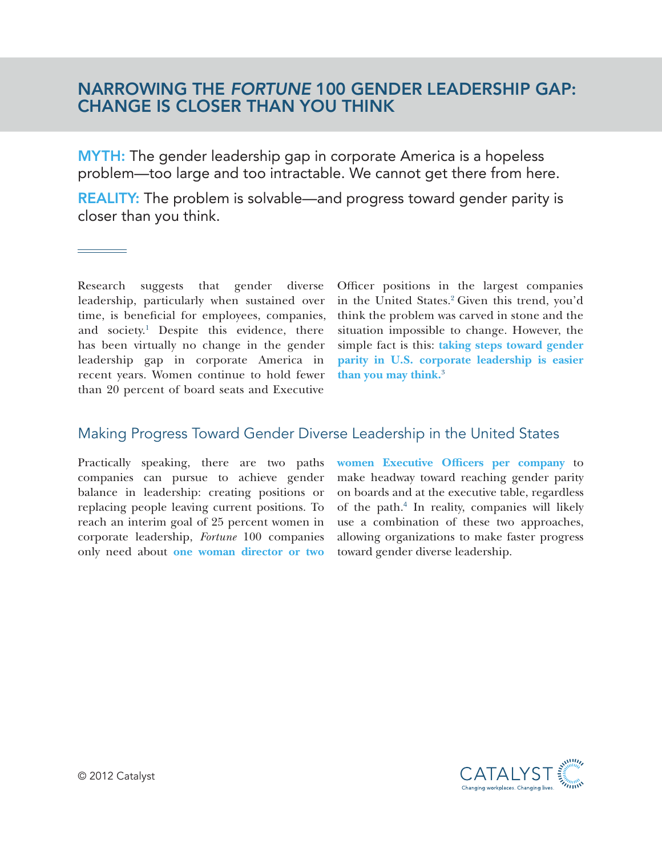## NARROWING THE *FORTUNE* 100 GENDER LEADERSHIP GAP: CHANGE IS CLOSER THAN YOU THINK

**MYTH:** The gender leadership gap in corporate America is a hopeless problem—too large and too intractable. We cannot get there from here.

REALITY: The problem is solvable—and progress toward gender parity is closer than you think.

Research suggests that gender diverse leadership, particularly when sustained over time, is beneficial for employees, companies, and society.<sup>1</sup> Despite this evidence, there has been virtually no change in the gender leadership gap in corporate America in recent years. Women continue to hold fewer than 20 percent of board seats and Executive

Officer positions in the largest companies in the United States.<sup>2</sup> Given this trend, you'd think the problem was carved in stone and the situation impossible to change. However, the simple fact is this: **taking steps toward gender parity in U.S. corporate leadership is easier than you may think.**<sup>3</sup>

## Making Progress Toward Gender Diverse Leadership in the United States

Practically speaking, there are two paths companies can pursue to achieve gender balance in leadership: creating positions or replacing people leaving current positions. To reach an interim goal of 25 percent women in corporate leadership, *Fortune* 100 companies only need about **one woman director or two**  **women Executive Officers per company** to make headway toward reaching gender parity on boards and at the executive table, regardless of the path.<sup>4</sup> In reality, companies will likely use a combination of these two approaches, allowing organizations to make faster progress toward gender diverse leadership.

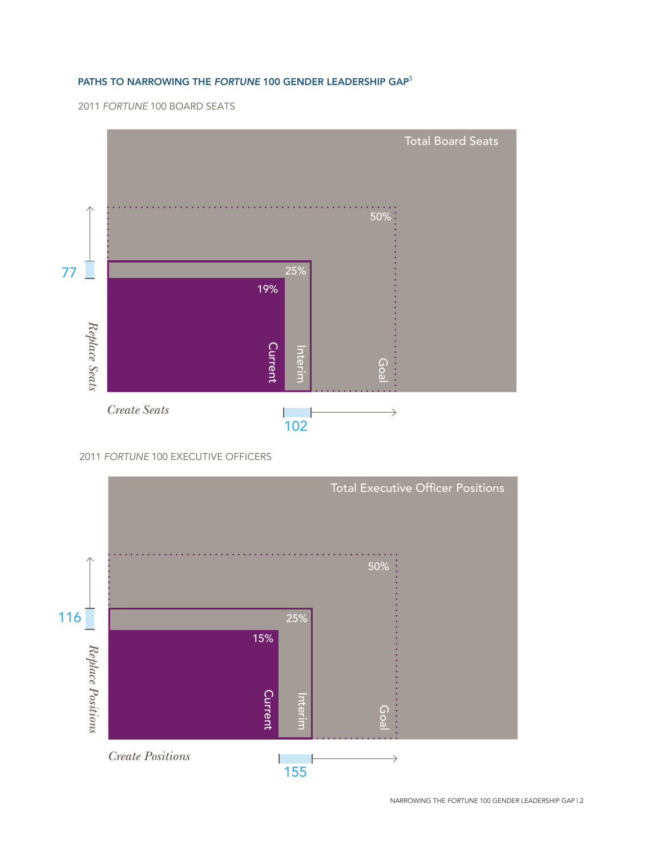## Paths to Narrowing the *Fortune* 100 Gender Leadership Gap<sup>5</sup>

2011 *Fortune* 100 BOARD SEATS



2011 *Fortune* 100 EXECUTIVE OFFICERS



NARROWING THE *FORTUNE* 100 GENDER LEADERSHIP GAP | 2